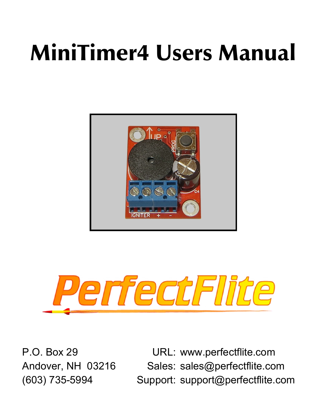# MiniTimer4 Users Manual





P.O. Box 29 URL: www.perfectflite.com Andover, NH 03216 Sales: sales@perfectflite.com (603) 735-5994 Support: support@perfectflite.com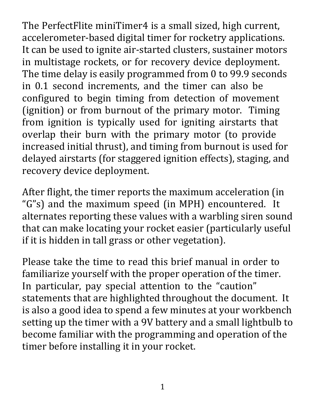The PerfectFlite miniTimer4 is a small sized, high current, accelerometer-based digital timer for rocketry applications. It can be used to ignite air-started clusters, sustainer motors in multistage rockets, or for recovery device deployment. The time delay is easily programmed from 0 to 99.9 seconds in 0.1 second increments, and the timer can also be configured to begin timing from detection of movement (ignition) or from burnout of the primary motor. Timing from ignition is typically used for igniting airstarts that overlap their burn with the primary motor (to provide increased initial thrust), and timing from burnout is used for delayed airstarts (for staggered ignition effects), staging, and recovery device deployment.

After flight, the timer reports the maximum acceleration (in "G"s) and the maximum speed (in MPH) encountered. It alternates reporting these values with a warbling siren sound that can make locating your rocket easier (particularly useful if it is hidden in tall grass or other vegetation).

Please take the time to read this brief manual in order to familiarize yourself with the proper operation of the timer. In particular, pay special attention to the "caution" statements that are highlighted throughout the document. It is also a good idea to spend a few minutes at your workbench setting up the timer with a 9V battery and a small lightbulb to become familiar with the programming and operation of the timer before installing it in your rocket.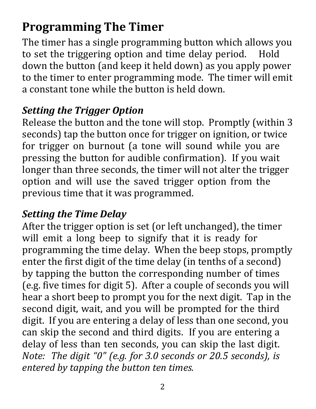## **Programming The Timer**

The timer has a single programming button which allows you to set the triggering option and time delay period. Hold down the button (and keep it held down) as you apply power to the timer to enter programming mode. The timer will emit a constant tone while the button is held down.

#### *Setting the Trigger Option*

Release the button and the tone will stop. Promptly (within 3 seconds) tap the button once for trigger on ignition, or twice for trigger on burnout (a tone will sound while you are pressing the button for audible confirmation). If you wait longer than three seconds, the timer will not alter the trigger option and will use the saved trigger option from the previous time that it was programmed.

#### *Setting the Time Delay*

After the trigger option is set (or left unchanged), the timer will emit a long beep to signify that it is ready for programming the time delay. When the beep stops, promptly enter the first digit of the time delay (in tenths of a second) by tapping the button the corresponding number of times (e.g. five times for digit 5). After a couple of seconds you will hear a short beep to prompt you for the next digit. Tap in the second digit, wait, and you will be prompted for the third digit. If you are entering a delay of less than one second, you can skip the second and third digits. If you are entering a delay of less than ten seconds, you can skip the last digit. *Note: The digit "0" (e.g. for 3.0 seconds or 20.5 seconds), is entered by tapping the button ten times.*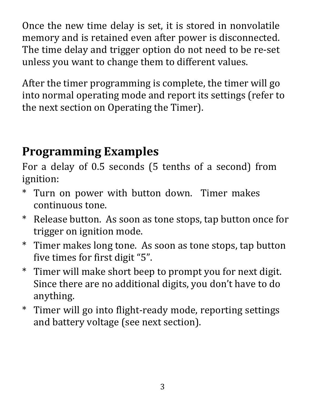Once the new time delay is set, it is stored in nonvolatile memory and is retained even after power is disconnected. The time delay and trigger option do not need to be re-set unless you want to change them to different values.

After the timer programming is complete, the timer will go into normal operating mode and report its settings (refer to the next section on Operating the Timer).

## **Programming Examples**

For a delay of 0.5 seconds (5 tenths of a second) from ignition:

- \* Turn on power with button down. Timer makes continuous tone.
- \* Release button. As soon as tone stops, tap button once for trigger on ignition mode.
- \* Timer makes long tone. As soon as tone stops, tap button five times for first digit "5".
- \* Timer will make short beep to prompt you for next digit. Since there are no additional digits, you don't have to do anything.
- \* Timer will go into flight-ready mode, reporting settings and battery voltage (see next section).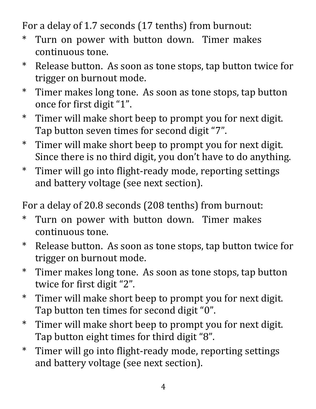For a delay of 1.7 seconds (17 tenths) from burnout:

- \* Turn on power with button down. Timer makes continuous tone.
- \* Release button. As soon as tone stops, tap button twice for trigger on burnout mode.
- \* Timer makes long tone. As soon as tone stops, tap button once for first digit "1".
- \* Timer will make short beep to prompt you for next digit. Tap button seven times for second digit "7".
- \* Timer will make short beep to prompt you for next digit. Since there is no third digit, you don't have to do anything.
- \* Timer will go into flight-ready mode, reporting settings and battery voltage (see next section).

For a delay of 20.8 seconds (208 tenths) from burnout:

- \* Turn on power with button down. Timer makes continuous tone.
- \* Release button. As soon as tone stops, tap button twice for trigger on burnout mode.
- \* Timer makes long tone. As soon as tone stops, tap button twice for first digit "2".
- \* Timer will make short beep to prompt you for next digit. Tap button ten times for second digit "0".
- \* Timer will make short beep to prompt you for next digit. Tap button eight times for third digit "8".
- \* Timer will go into flight-ready mode, reporting settings and battery voltage (see next section).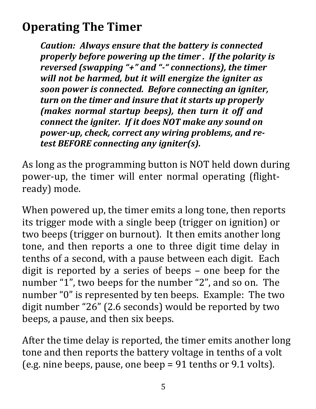## **Operating The Timer**

*Caution: Always ensure that the battery is connected properly before powering up the timer . If the polarity is reversed (swapping "+" and "-" connections), the timer will not be harmed, but it will energize the igniter as soon power is connected. Before connecting an igniter, turn on the timer and insure that it starts up properly (makes normal startup beeps), then turn it off and connect the igniter. If it does NOT make any sound on power-up, check, correct any wiring problems, and retest BEFORE connecting any igniter(s).*

As long as the programming button is NOT held down during power-up, the timer will enter normal operating (flightready) mode.

When powered up, the timer emits a long tone, then reports its trigger mode with a single beep (trigger on ignition) or two beeps (trigger on burnout). It then emits another long tone, and then reports a one to three digit time delay in tenths of a second, with a pause between each digit. Each digit is reported by a series of beeps – one beep for the number "1", two beeps for the number "2", and so on. The number "0" is represented by ten beeps. Example: The two digit number "26" (2.6 seconds) would be reported by two beeps, a pause, and then six beeps.

After the time delay is reported, the timer emits another long tone and then reports the battery voltage in tenths of a volt (e.g. nine beeps, pause, one beep = 91 tenths or 9.1 volts).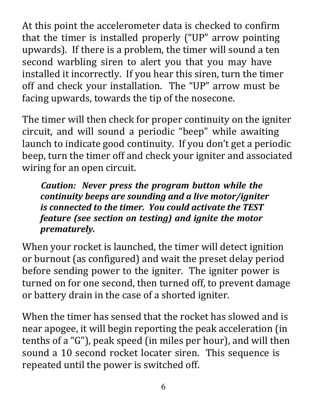At this point the accelerometer data is checked to confirm that the timer is installed properly ("UP" arrow pointing upwards). If there is a problem, the timer will sound a ten second warbling siren to alert you that you may have installed it incorrectly. If you hear this siren, turn the timer off and check your installation. The "UP" arrow must be facing upwards, towards the tip of the nosecone.

The timer will then check for proper continuity on the igniter circuit, and will sound a periodic "beep" while awaiting launch to indicate good continuity. If you don't get a periodic beep, turn the timer off and check your igniter and associated wiring for an open circuit.

*Caution: Never press the program button while the continuity beeps are sounding and a live motor/igniter is connected to the timer. You could activate the TEST feature (see section on testing) and ignite the motor prematurely.*

When your rocket is launched, the timer will detect ignition or burnout (as configured) and wait the preset delay period before sending power to the igniter. The igniter power is turned on for one second, then turned off, to prevent damage or battery drain in the case of a shorted igniter.

When the timer has sensed that the rocket has slowed and is near apogee, it will begin reporting the peak acceleration (in tenths of a "G"), peak speed (in miles per hour), and will then sound a 10 second rocket locater siren. This sequence is repeated until the power is switched off.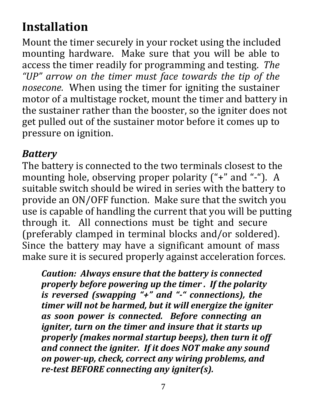## **Installation**

Mount the timer securely in your rocket using the included mounting hardware. Make sure that you will be able to access the timer readily for programming and testing. *The "UP" arrow on the timer must face towards the tip of the nosecone.* When using the timer for igniting the sustainer motor of a multistage rocket, mount the timer and battery in the sustainer rather than the booster, so the igniter does not get pulled out of the sustainer motor before it comes up to pressure on ignition.

#### *Battery*

The battery is connected to the two terminals closest to the mounting hole, observing proper polarity ("+" and "-"). A suitable switch should be wired in series with the battery to provide an ON/OFF function. Make sure that the switch you use is capable of handling the current that you will be putting through it. All connections must be tight and secure (preferably clamped in terminal blocks and/or soldered). Since the battery may have a significant amount of mass make sure it is secured properly against acceleration forces.

*Caution: Always ensure that the battery is connected properly before powering up the timer . If the polarity is reversed (swapping "+" and "-" connections), the timer will not be harmed, but it will energize the igniter as soon power is connected. Before connecting an igniter, turn on the timer and insure that it starts up properly (makes normal startup beeps), then turn it off and connect the igniter. If it does NOT make any sound on power-up, check, correct any wiring problems, and re-test BEFORE connecting any igniter(s).*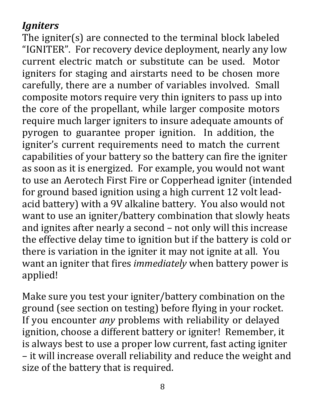#### *Igniters*

The igniter(s) are connected to the terminal block labeled "IGNITER". For recovery device deployment, nearly any low current electric match or substitute can be used. Motor igniters for staging and airstarts need to be chosen more carefully, there are a number of variables involved. Small composite motors require very thin igniters to pass up into the core of the propellant, while larger composite motors require much larger igniters to insure adequate amounts of pyrogen to guarantee proper ignition. In addition, the igniter's current requirements need to match the current capabilities of your battery so the battery can fire the igniter as soon as it is energized. For example, you would not want to use an Aerotech First Fire or Copperhead igniter (intended for ground based ignition using a high current 12 volt leadacid battery) with a 9V alkaline battery. You also would not want to use an igniter/battery combination that slowly heats and ignites after nearly a second – not only will this increase the effective delay time to ignition but if the battery is cold or there is variation in the igniter it may not ignite at all. You want an igniter that fires *immediately* when battery power is applied!

Make sure you test your igniter/battery combination on the ground (see section on testing) before flying in your rocket. If you encounter *any* problems with reliability or delayed ignition, choose a different battery or igniter! Remember, it is always best to use a proper low current, fast acting igniter – it will increase overall reliability and reduce the weight and size of the battery that is required.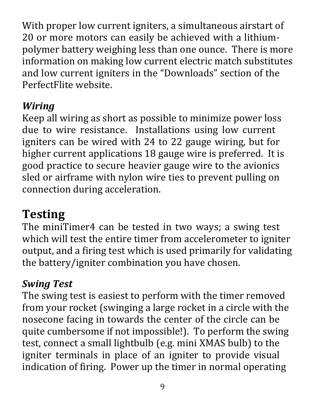With proper low current igniters, a simultaneous airstart of 20 or more motors can easily be achieved with a lithiumpolymer battery weighing less than one ounce. There is more information on making low current electric match substitutes and low current igniters in the "Downloads" section of the PerfectFlite website.

#### *Wiring*

Keep all wiring as short as possible to minimize power loss due to wire resistance. Installations using low current igniters can be wired with 24 to 22 gauge wiring, but for higher current applications 18 gauge wire is preferred. It is good practice to secure heavier gauge wire to the avionics sled or airframe with nylon wire ties to prevent pulling on connection during acceleration.

## **Testing**

The miniTimer4 can be tested in two ways; a swing test which will test the entire timer from accelerometer to igniter output, and a firing test which is used primarily for validating the battery/igniter combination you have chosen.

#### *Swing Test*

The swing test is easiest to perform with the timer removed from your rocket (swinging a large rocket in a circle with the nosecone facing in towards the center of the circle can be quite cumbersome if not impossible!). To perform the swing test, connect a small lightbulb (e.g. mini XMAS bulb) to the igniter terminals in place of an igniter to provide visual indication of firing. Power up the timer in normal operating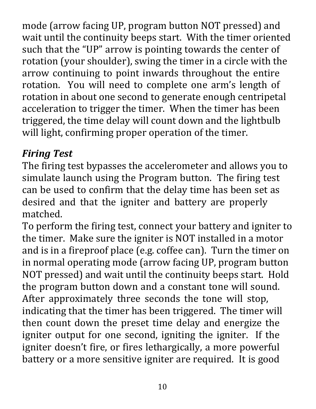mode (arrow facing UP, program button NOT pressed) and wait until the continuity beeps start. With the timer oriented such that the "UP" arrow is pointing towards the center of rotation (your shoulder), swing the timer in a circle with the arrow continuing to point inwards throughout the entire rotation. You will need to complete one arm's length of rotation in about one second to generate enough centripetal acceleration to trigger the timer. When the timer has been triggered, the time delay will count down and the lightbulb will light, confirming proper operation of the timer.

#### *Firing Test*

The firing test bypasses the accelerometer and allows you to simulate launch using the Program button. The firing test can be used to confirm that the delay time has been set as desired and that the igniter and battery are properly matched.

To perform the firing test, connect your battery and igniter to the timer. Make sure the igniter is NOT installed in a motor and is in a fireproof place (e.g. coffee can). Turn the timer on in normal operating mode (arrow facing UP, program button NOT pressed) and wait until the continuity beeps start. Hold the program button down and a constant tone will sound. After approximately three seconds the tone will stop, indicating that the timer has been triggered. The timer will then count down the preset time delay and energize the igniter output for one second, igniting the igniter. If the igniter doesn't fire, or fires lethargically, a more powerful battery or a more sensitive igniter are required. It is good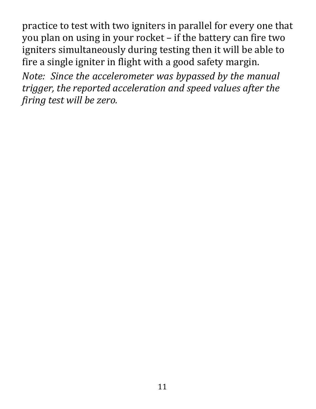practice to test with two igniters in parallel for every one that you plan on using in your rocket – if the battery can fire two igniters simultaneously during testing then it will be able to fire a single igniter in flight with a good safety margin.

*Note: Since the accelerometer was bypassed by the manual trigger, the reported acceleration and speed values after the firing test will be zero.*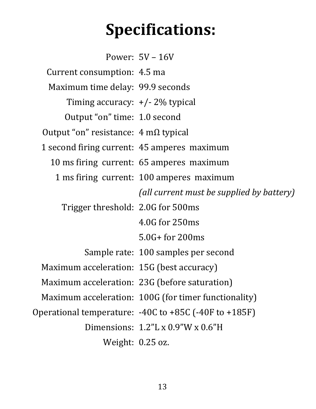## **Specifications:**

Power: 5V – 16V Current consumption: 4.5 ma Maximum time delay: 99.9 seconds Timing accuracy: +/- 2% typical Output "on" time: 1.0 second Output "on" resistance: 4 mΩ typical 1 second firing current: 45 amperes maximum 10 ms firing current: 65 amperes maximum 1 ms firing current: 100 amperes maximum *(all current must be supplied by battery)* Trigger threshold: 2.0G for 500ms 4.0G for 250ms 5.0G+ for 200ms Sample rate: 100 samples per second Maximum acceleration: 15G (best accuracy) Maximum acceleration: 23G (before saturation) Maximum acceleration: 100G (for timer functionality) Operational temperature: -40C to +85C (-40F to +185F) Dimensions: 1.2"L x 0.9"W x 0.6"H Weight: 0.25 oz.